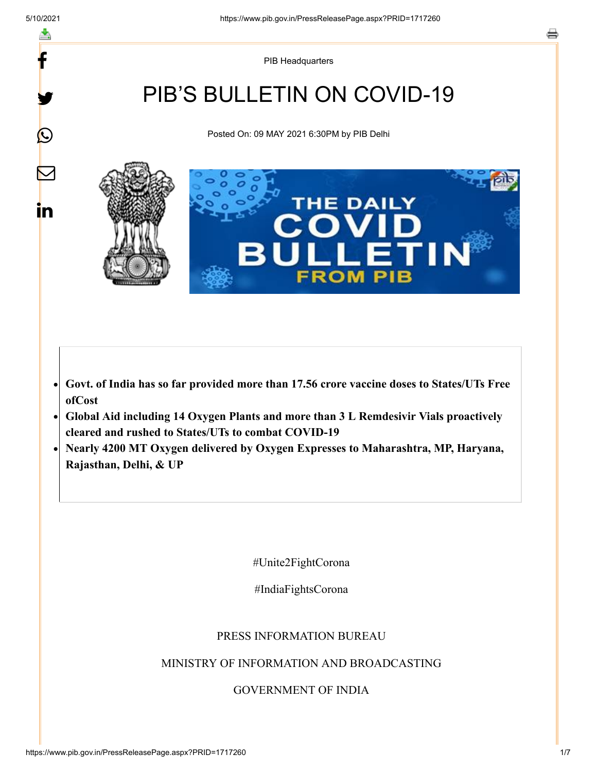y.

 $\bigcirc$ 

 $\sum$ 

in

PIB Headquarters

# PIB'S BULLETIN ON COVID-19

Posted On: 09 MAY 2021 6:30PM by PIB Delhi



#### **Govt. of India has so far provided more than 17.56 crore vaccine doses to States/UTs Free**  $\bullet$ **ofCost**

- **Global Aid including 14 Oxygen Plants and more than 3 L Remdesivir Vials proactively**  $\bullet$ **cleared and rushed to States/UTs to combat COVID-19**
- **Nearly 4200 MT Oxygen delivered by Oxygen Expresses to Maharashtra, MP, Haryana, Rajasthan, Delhi, & UP**

#Unite2FightCorona

#IndiaFightsCorona

#### PRESS INFORMATION BUREAU

#### MINISTRY OF INFORMATION AND BROADCASTING

#### GOVERNMENT OF INDIA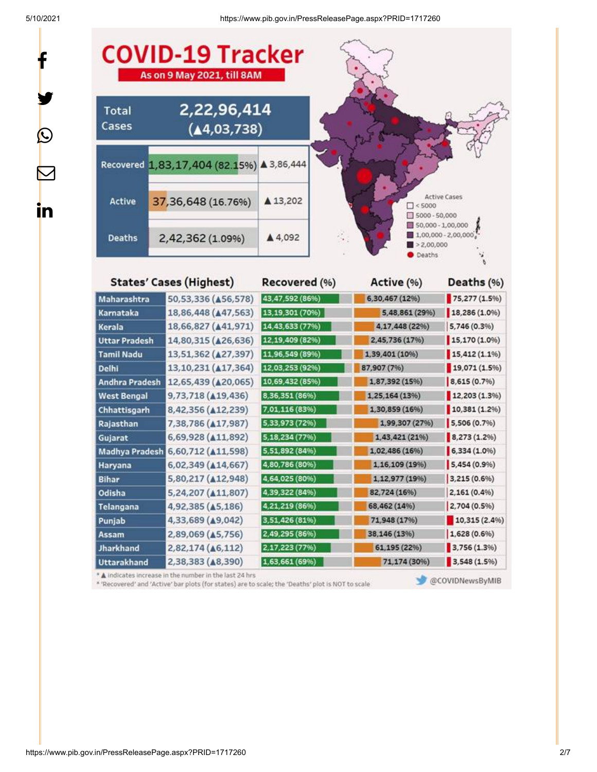y.

 $\bf \Omega$ 

 $\bm{\nabla}$ 

<u>in</u>

5/10/2021 https://www.pib.gov.in/PressReleasePage.aspx?PRID=1717260



4,21,219 (86%)

3,51,426 (81%)

Punjab 4,33,689 (49,042) Assam 2,89,069 ( $\triangle$ 5,756) 2,49,295 (86%) Jharkhand 2,82,174 ( $\triangle 6,112$ ) 2,17,223 (77%) **Uttarakhand** 2,38,383 ( $\triangle$ 8,390) 1.63.661 (69%) \* A indicates increase in the number in the last 24 hrs

4,92,385 ( $\triangle$ 5,186)

\* 'Recovered' and 'Active' bar plots (for states) are to scale; the 'Deaths' plot is NOT to scale

@COVIDNewsByMIB

2,704 (0.5%)

 $1,628(0.6%)$ 

3,756 (1.3%)

3,548 (1.5%)

 $10,315(2.4%$ 

68,462 (14%)

71,948 (17%)

38,146 (13%)

61,195 (22%)

71,174 (30%)

Telangana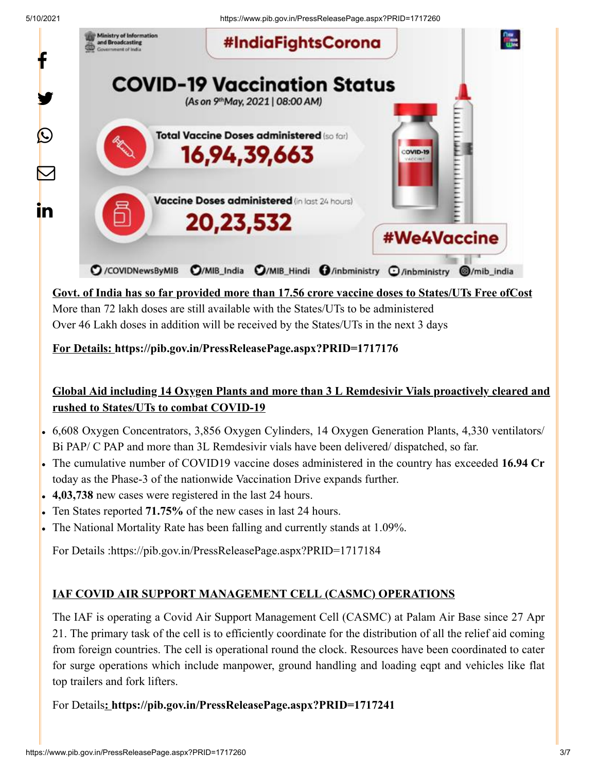5/10/2021 https://www.pib.gov.in/PressReleasePage.aspx?PRID=1717260



**Govt. of India has so far provided more than 17.56 crore vaccine doses to States/UTs Free ofCost** More than 72 lakh doses are still available with the States/UTs to be administered Over 46 Lakh doses in addition will be received by the States/UTs in the next 3 days

**For Details: <https://pib.gov.in/PressReleasePage.aspx?PRID=1717176>**

## **Global Aid including 14 Oxygen Plants and more than 3 L Remdesivir Vials proactively cleared and rushed to States/UTs to combat COVID-19**

- 6,608 Oxygen Concentrators, 3,856 Oxygen Cylinders, 14 Oxygen Generation Plants, 4,330 ventilators/ Bi PAP/ C PAP and more than 3L Remdesivir vials have been delivered/ dispatched, so far.
- The cumulative number of COVID19 vaccine doses administered in the country has exceeded **16.94 Cr** today as the Phase-3 of the nationwide Vaccination Drive expands further.
- **4,03,738** new cases were registered in the last 24 hours.
- Ten States reported **71.75%** of the new cases in last 24 hours.
- The National Mortality Rate has been falling and currently stands at 1.09%.

For Details :<https://pib.gov.in/PressReleasePage.aspx?PRID=1717184>

### **IAF COVID AIR SUPPORT MANAGEMENT CELL (CASMC) OPERATIONS**

The IAF is operating a Covid Air Support Management Cell (CASMC) at Palam Air Base since 27 Apr 21. The primary task of the cell is to efficiently coordinate for the distribution of all the relief aid coming from foreign countries. The cell is operational round the clock. Resources have been coordinated to cater for surge operations which include manpower, ground handling and loading eqpt and vehicles like flat top trailers and fork lifters.

For Details**:<https://pib.gov.in/PressReleasePage.aspx?PRID=1717241>**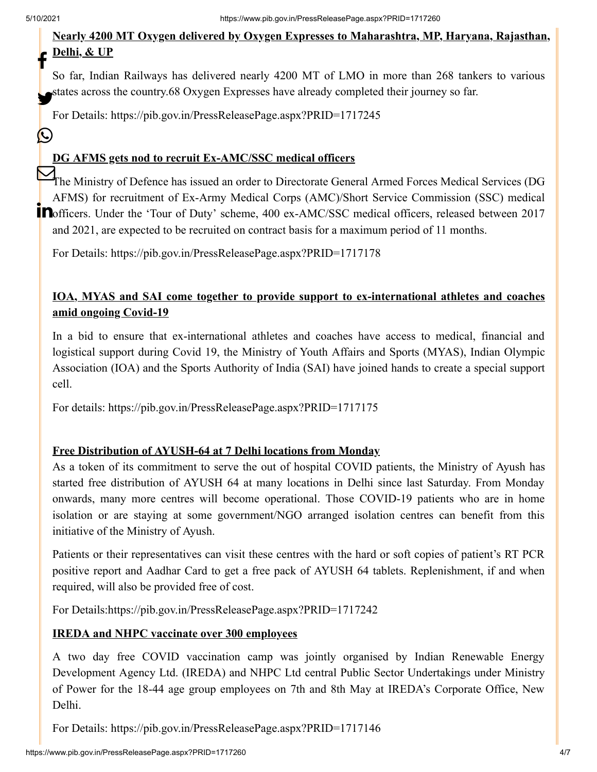$\left(\sum_{i=1}^{n} a_i\right)$ 

#### **Nearly 4200 MT Oxygen delivered by Oxygen Expresses to Maharashtra, MP, Haryana, Rajasthan, Delhi, & UP** f

So far, Indian Railways has delivered nearly 4200 MT of LMO in more than 268 tankers to various states across the country.68 Oxygen Expresses have already completed their journey so far.

For Details: <https://pib.gov.in/PressReleasePage.aspx?PRID=1717245>

#### **DG AFMS gets nod to recruit Ex-AMC/SSC medical officers**

The Ministry of Defence has issued an order to Directorate General Armed Forces Medical Services (DG AFMS) for recruitment of Ex-Army Medical Corps (AMC)/Short Service Commission (SSC) medical **CONSERVAGE OF CONSERVAGE IN THE SUBARY SCHEME CONSERVAGE IN A SERVICE STATES.** (See 2) HEREADY and 2021, are expected to be recruited on contract basis for a maximum period of 11 months.

For Details: <https://pib.gov.in/PressReleasePage.aspx?PRID=1717178>

#### **IOA, MYAS and SAI come together to provide support to ex-international athletes and coaches amid ongoing Covid-19**

In a bid to ensure that ex-international athletes and coaches have access to medical, financial and logistical support during Covid 19, the Ministry of Youth Affairs and Sports (MYAS), Indian Olympic Association (IOA) and the Sports Authority of India (SAI) have joined hands to create a special support cell.

For details:<https://pib.gov.in/PressReleasePage.aspx?PRID=1717175>

#### **Free Distribution of AYUSH-64 at 7 Delhi locations from Monday**

As a token of its commitment to serve the out of hospital COVID patients, the Ministry of Ayush has started free distribution of AYUSH 64 at many locations in Delhi since last Saturday. From Monday onwards, many more centres will become operational. Those COVID-19 patients who are in home isolation or are staying at some government/NGO arranged isolation centres can benefit from this initiative of the Ministry of Ayush.

Patients or their representatives can visit these centres with the hard or soft copies of patient's RT PCR positive report and Aadhar Card to get a free pack of AYUSH 64 tablets. Replenishment, if and when required, will also be provided free of cost.

For Details:<https://pib.gov.in/PressReleasePage.aspx?PRID=1717242>

#### **IREDA and NHPC vaccinate over 300 employees**

A two day free COVID vaccination camp was jointly organised by Indian Renewable Energy Development Agency Ltd. (IREDA) and NHPC Ltd central Public Sector Undertakings under Ministry of Power for the 18-44 age group employees on 7th and 8th May at IREDA's Corporate Office, New Delhi.

For Details: <https://pib.gov.in/PressReleasePage.aspx?PRID=1717146>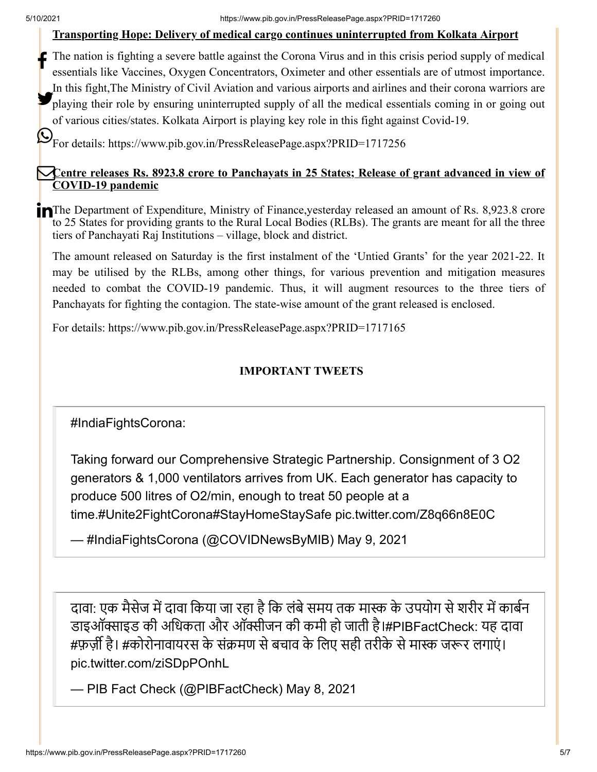#### **Transporting Hope: Delivery of medical cargo continues uninterrupted from Kolkata Airport**

The nation is fighting a severe battle against the Corona Virus and in this crisis period supply of medical essentials like Vaccines, Oxygen Concentrators, Oximeter and other essentials are of utmost importance. In this fight,The Ministry of Civil Aviation and various airports and airlines and their corona warriors are playing their role by ensuring uninterrupted supply of all the medical essentials coming in or going out of various cities/states. Kolkata Airport is playing key role in this fight against Covid-19. f

 $\bigotimes_{\text{For details: https://www.pib.gov.in/PressReleasePage.aspx?PRID=1717256}}$  $\bigotimes_{\text{For details: https://www.pib.gov.in/PressReleasePage.aspx?PRID=1717256}}$  $\bigotimes_{\text{For details: https://www.pib.gov.in/PressReleasePage.aspx?PRID=1717256}}$ 

#### **Centre releases Rs. 8923.8 crore to Panchayats in 25 States; Release of grant advanced in view of COVID-19 pandemic**

The Department of Expenditure, Ministry of Finance, yesterday released an amount of Rs. 8,923.8 crore to 25 States for providing grants to the Rural Local Bodies (RLBs). The grants are meant for all the three tiers of Panchayati Raj Institutions – village, block and district.

The amount released on Saturday is the first instalment of the 'Untied Grants' for the year 2021-22. It may be utilised by the RLBs, among other things, for various prevention and mitigation measures needed to combat the COVID-19 pandemic. Thus, it will augment resources to the three tiers of Panchayats for fighting the contagion. The state-wise amount of the grant released is enclosed.

For details:<https://www.pib.gov.in/PressReleasePage.aspx?PRID=1717165>

### **IMPORTANT TWEETS**

[#IndiaFightsCorona](https://twitter.com/hashtag/IndiaFightsCorona?src=hash&ref_src=twsrc%5Etfw):

Taking forward our Comprehensive Strategic Partnership. Consignment of 3 O2 generators & 1,000 ventilators arrives from UK. Each generator has capacity to produce 500 litres of O2/min, enough to treat 50 people at a time.[#Unite2FightCorona](https://twitter.com/hashtag/Unite2FightCorona?src=hash&ref_src=twsrc%5Etfw)[#StayHomeStaySafe](https://twitter.com/hashtag/StayHomeStaySafe?src=hash&ref_src=twsrc%5Etfw) [pic.twitter.com/Z8q66n8E0C](https://t.co/Z8q66n8E0C)

— #IndiaFightsCorona (@COVIDNewsByMIB) [May 9, 2021](https://twitter.com/COVIDNewsByMIB/status/1391324483500216321?ref_src=twsrc%5Etfw)

दावा: एक मैसेज में दावा किया जा रहा है कि लंबे समय तक मास्क के उपयोग से शरीर में कार्बन डाइऑक्साइड की अधिकता और ऑक्सीजन की कमी हो जाती है।[#PIBFactCheck](https://twitter.com/hashtag/PIBFactCheck?src=hash&ref_src=twsrc%5Etfw): यह दावा #फ़र्ज़ी है। #[कोरोनावायरस](https://twitter.com/hashtag/%E0%A4%95%E0%A5%8B%E0%A4%B0%E0%A5%8B%E0%A4%A8%E0%A4%BE%E0%A4%B5%E0%A4%BE%E0%A4%AF%E0%A4%B0%E0%A4%B8?src=hash&ref_src=twsrc%5Etfw) के संक्रमण से बचाव के लिए सही तरीके से मास्क जरूर लगाएं। [pic.twitter.com/ziSDpPOnhL](https://t.co/ziSDpPOnhL)

— PIB Fact Check (@PIBFactCheck) [May 8, 2021](https://twitter.com/PIBFactCheck/status/1391010734838927365?ref_src=twsrc%5Etfw)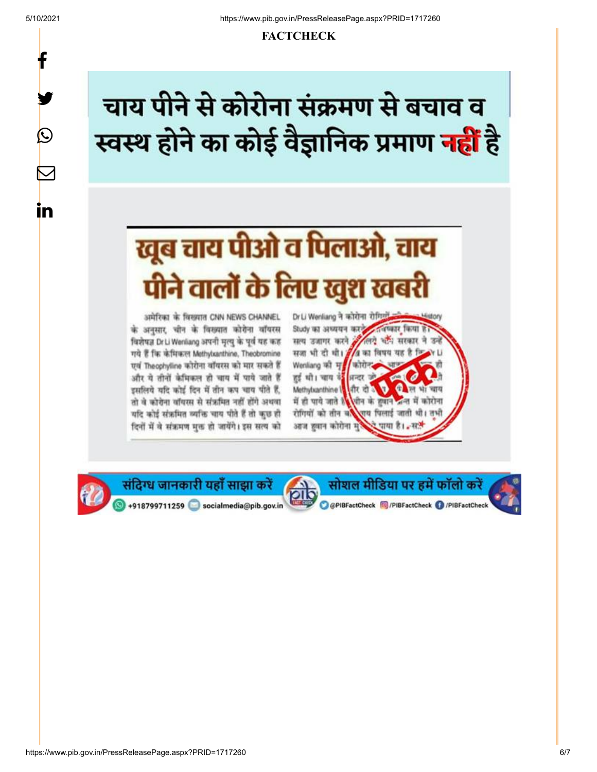y.

 $\bigcirc$ 

∨

in

#### **FACTCHECK**

# चाय पीने से कोरोना संक्रमण से बचाव व स्वस्थ होने का कोई वैज्ञानिक प्रमाण <mark>नहीं</mark> है

# खूब चाय पीओ व पिलाओ, चाय पीने वालों के लिए खुश खबरी

अमेरिका के विख्यात CNN NEWS CHANNEL के अनसार, चीन के विख्यात कोरोना वॉयरस विशेषज्ञ Dr Li Wenliang अपनी मृत्यु के पूर्व यह कह गये हैं कि केमिकल Methylxanthine, Theobromine एवं Theophylline कोरोना वॉयरस को मार सकते हैं और ये तीनों केमिकल हो चाय में पाये जाते हैं इसलिये यदि कोई दिन में तीन कप चाय पीते हैं, तो वे कोरोना वॉयस्स से संऋमित नहीं होंगे अथवा यदि कोई संक्रमित व्यक्ति चाय पीते हैं तो कुछ हो दिनों में वे संऋमण मुक्त हो जायेंगे। इस सत्य को

Dr Li Wenliang ने कोरोना रोगियाँ के Study का अध्ययन करने **CONTRATE THERE IS a** लगे और सरकार ने उन सत्य उजागर करने 2 सजा भी दी थी। 3/4 का विषय यह है कि N Li Wentiang की मृत्य कोरोन हुई थी। चाय उं<mark>डें</mark> अन्दर जो 0 विभाषाय Methylxanthine । और दो -में ही पाये जाते हैं और सीन के हवाने अन्त में कोरोना रोगियों को तीन बाद राय पिलाई जाती थी। तभी आज हवान कोरोना मु पाया है। .. सपे

सोशल मीडिया पर हमें फॉलो करें

O @PIBFactCheck @/PIBFactCheck @/PIBFactCheck



संदिग्ध जानकारी यहाँ साझा करें +918799711259 socialmedia@pib.gov.in